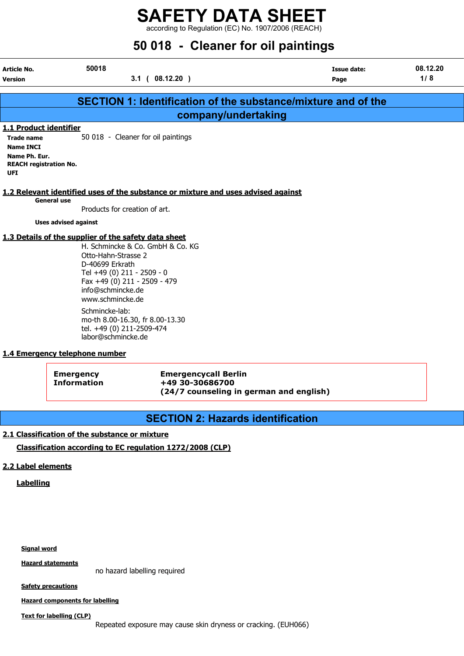according to Regulation (EC) No. 1907/2006 (REACH)

| 50 018 - Cleaner for oil paintings                                                                                       |                                                                                                                         |                                                                                                                                                                |                                                                                   |                     |                 |  |  |
|--------------------------------------------------------------------------------------------------------------------------|-------------------------------------------------------------------------------------------------------------------------|----------------------------------------------------------------------------------------------------------------------------------------------------------------|-----------------------------------------------------------------------------------|---------------------|-----------------|--|--|
| Article No.<br><b>Version</b>                                                                                            | 50018                                                                                                                   | 3.1(08.12.20)                                                                                                                                                  |                                                                                   | Issue date:<br>Page | 08.12.20<br>1/8 |  |  |
|                                                                                                                          |                                                                                                                         |                                                                                                                                                                | <b>SECTION 1: Identification of the substance/mixture and of the</b>              |                     |                 |  |  |
|                                                                                                                          |                                                                                                                         |                                                                                                                                                                | company/undertaking                                                               |                     |                 |  |  |
| 1.1 Product identifier<br><b>Trade name</b><br><b>Name INCI</b><br>Name Ph. Eur.<br><b>REACH registration No.</b><br>UFI |                                                                                                                         | 50 018 - Cleaner for oil paintings                                                                                                                             |                                                                                   |                     |                 |  |  |
| <b>General use</b>                                                                                                       |                                                                                                                         | Products for creation of art.                                                                                                                                  | 1.2 Relevant identified uses of the substance or mixture and uses advised against |                     |                 |  |  |
| <b>Uses advised against</b>                                                                                              |                                                                                                                         |                                                                                                                                                                |                                                                                   |                     |                 |  |  |
| 1.3 Details of the supplier of the safety data sheet                                                                     | Otto-Hahn-Strasse 2<br>D-40699 Erkrath<br>info@schmincke.de<br>www.schmincke.de<br>Schmincke-lab:<br>labor@schmincke.de | H. Schmincke & Co. GmbH & Co. KG<br>Tel +49 (0) 211 - 2509 - 0<br>Fax +49 (0) 211 - 2509 - 479<br>mo-th 8.00-16.30, fr 8.00-13.30<br>tel. +49 (0) 211-2509-474 |                                                                                   |                     |                 |  |  |
| 1.4 Emergency telephone number                                                                                           |                                                                                                                         |                                                                                                                                                                |                                                                                   |                     |                 |  |  |

Emergency Emergencycall Berlin Information +49 30-30686700 (24/7 counseling in german and english)

## SECTION 2: Hazards identification

#### 2.1 Classification of the substance or mixture

#### Classification according to EC regulation 1272/2008 (CLP)

#### 2.2 Label elements

**Labelling** 

Signal word

**Hazard statements** 

no hazard labelling required

**Safety precautions** 

Hazard components for labelling

Text for labelling (CLP)

Repeated exposure may cause skin dryness or cracking. (EUH066)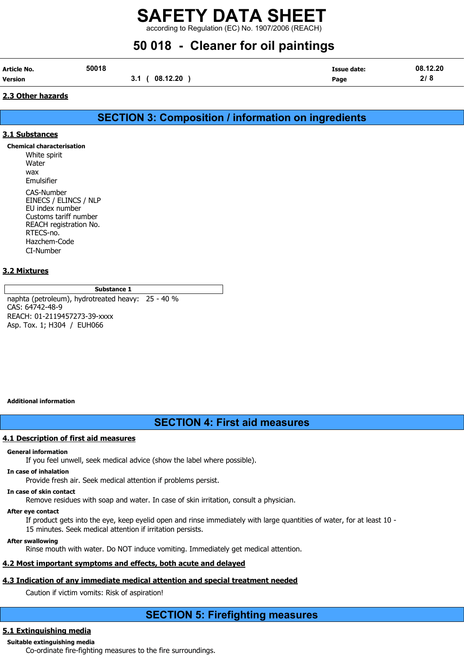according to Regulation (EC) No. 1907/2006 (REACH)

# 50 018 - Cleaner for oil paintings

| Article No.    | 50018 |                  | <b>Issue date:</b> | 08.12.20 |
|----------------|-------|------------------|--------------------|----------|
| <b>Version</b> |       | 08.12.20<br>J. I | Page               | 2/8      |

#### 2.3 Other hazards

## SECTION 3: Composition / information on ingredients

#### 3.1 Substances

Chemical characterisation White spirit **Water** wax Emulsifier CAS-Number EINECS / ELINCS / NLP EU index number Customs tariff number REACH registration No. RTECS-no. Hazchem-Code CI-Number

#### 3.2 Mixtures

#### Substance 1

naphta (petroleum), hydrotreated heavy: 25 - 40 % CAS: 64742-48-9 REACH: 01-2119457273-39-xxxx Asp. Tox. 1; H304 / EUH066

#### Additional information

## SECTION 4: First aid measures

#### 4.1 Description of first aid measures

#### General information

If you feel unwell, seek medical advice (show the label where possible).

#### In case of inhalation

Provide fresh air. Seek medical attention if problems persist.

#### In case of skin contact

Remove residues with soap and water. In case of skin irritation, consult a physician.

#### After eye contact

If product gets into the eye, keep eyelid open and rinse immediately with large quantities of water, for at least 10 - 15 minutes. Seek medical attention if irritation persists.

#### After swallowing

Rinse mouth with water. Do NOT induce vomiting. Immediately get medical attention.

#### 4.2 Most important symptoms and effects, both acute and delayed

#### 4.3 Indication of any immediate medical attention and special treatment needed

Caution if victim vomits: Risk of aspiration!

### SECTION 5: Firefighting measures

#### 5.1 Extinguishing media

#### Suitable extinguishing media

Co-ordinate fire-fighting measures to the fire surroundings.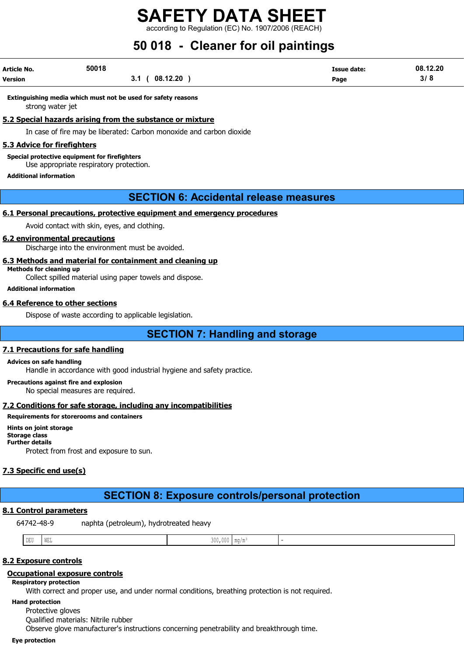according to Regulation (EC) No. 1907/2006 (REACH)

# 50 018 - Cleaner for oil paintings

| Article No. | 50018 |                 | Issue date: | 08.12.20 |
|-------------|-------|-----------------|-------------|----------|
| Version     |       | 08.12.20<br>3.1 | Page        | 3/8      |

Extinguishing media which must not be used for safety reasons strong water jet

5.2 Special hazards arising from the substance or mixture

In case of fire may be liberated: Carbon monoxide and carbon dioxide

#### **5.3 Advice for firefighters**

Special protective equipment for firefighters Use appropriate respiratory protection.

Additional information

### SECTION 6: Accidental release measures

#### 6.1 Personal precautions, protective equipment and emergency procedures

Avoid contact with skin, eyes, and clothing.

#### 6.2 environmental precautions

Discharge into the environment must be avoided.

#### 6.3 Methods and material for containment and cleaning up

Methods for cleaning up Collect spilled material using paper towels and dispose.

Additional information

#### 6.4 Reference to other sections

Dispose of waste according to applicable legislation.

## SECTION 7: Handling and storage

#### 7.1 Precautions for safe handling

#### Advices on safe handling

Handle in accordance with good industrial hygiene and safety practice.

Precautions against fire and explosion

No special measures are required.

#### 7.2 Conditions for safe storage, including any incompatibilities

Requirements for storerooms and containers

Hints on joint storage Storage class Further details

Protect from frost and exposure to sun.

### 7.3 Specific end use(s)

# SECTION 8: Exposure controls/personal protection

### 8.1 Control parameters

64742-48-9 naphta (petroleum), hydrotreated heavy

| DEU<br>$\sim$ | the contract of the contract of the contract of the contract of the contract of the contract of the contract of<br>L MET<br>புகு | $\sim$ $\sim$ $\sim$<br>:1111<br>300,000 | $\cdots$<br>' IIIU / III |  |
|---------------|----------------------------------------------------------------------------------------------------------------------------------|------------------------------------------|--------------------------|--|

#### 8.2 Exposure controls

#### Occupational exposure controls

Respiratory protection

With correct and proper use, and under normal conditions, breathing protection is not required.

Hand protection

Protective gloves

Qualified materials: Nitrile rubber

Observe glove manufacturer's instructions concerning penetrability and breakthrough time.

#### Eye protection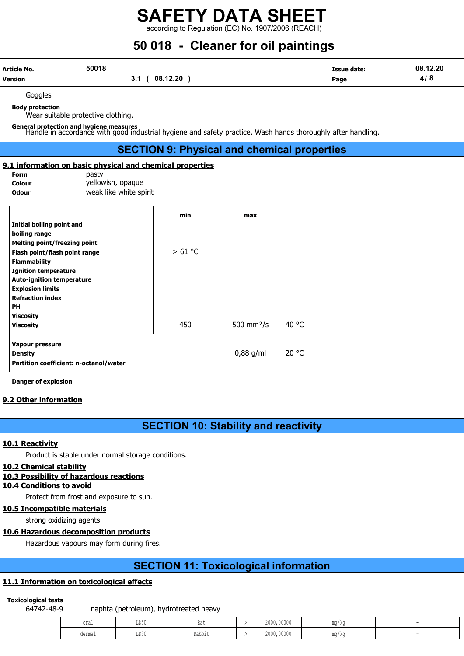according to Regulation (EC) No. 1907/2006 (REACH)

# 50 018 - Cleaner for oil paintings

| Article No.    | 50018 |                 | Issue date: | 08.12.20      |
|----------------|-------|-----------------|-------------|---------------|
| <b>Version</b> |       | 08.12.20<br>ν.ι | Page        | .<br>41<br>-0 |

Goggles

Body protection

Wear suitable protective clothing.

General protection and hygiene measures Handle in accordance with good industrial hygiene and safety practice. Wash hands thoroughly after handling.

## SECTION 9: Physical and chemical properties

#### 9.1 information on basic physical and chemical properties

| Form          |  |
|---------------|--|
| Colour        |  |
| <b>Ode:12</b> |  |

pasty yellowish, opaque **Odour weak like white spirit** 

|                                        | min    | max          |       |
|----------------------------------------|--------|--------------|-------|
| Initial boiling point and              |        |              |       |
| boiling range                          |        |              |       |
| Melting point/freezing point           |        |              |       |
| Flash point/flash point range          | >61 °C |              |       |
| <b>Flammability</b>                    |        |              |       |
| <b>Ignition temperature</b>            |        |              |       |
| <b>Auto-ignition temperature</b>       |        |              |       |
| <b>Explosion limits</b>                |        |              |       |
| <b>Refraction index</b>                |        |              |       |
| PH                                     |        |              |       |
| <b>Viscosity</b>                       |        |              |       |
| <b>Viscosity</b>                       | 450    | 500 mm $2/s$ | 40 °C |
| Vapour pressure                        |        |              |       |
| <b>Density</b>                         |        | $0,88$ g/ml  | 20 °C |
| Partition coefficient: n-octanol/water |        |              |       |

Danger of explosion

#### 9.2 Other information

## SECTION 10: Stability and reactivity

#### 10.1 Reactivity

Product is stable under normal storage conditions.

#### 10.2 Chemical stability

#### 10.3 Possibility of hazardous reactions

#### 10.4 Conditions to avoid

Protect from frost and exposure to sun.

#### 10.5 Incompatible materials

strong oxidizing agents

#### 10.6 Hazardous decomposition products

Hazardous vapours may form during fires.

## SECTION 11: Toxicological information

#### 11.1 Information on toxicological effects

#### Toxicological tests

64742-48-9 naphta (petroleum), hydrotreated heavy

| oral            | LD50<br>$\sim$ | Rat               | 2000,00000 | ma/ka |  |
|-----------------|----------------|-------------------|------------|-------|--|
| _____<br>dermal | LD50<br>$\sim$ | Dahhin<br>rann Fr | 2000,00000 | ma/ka |  |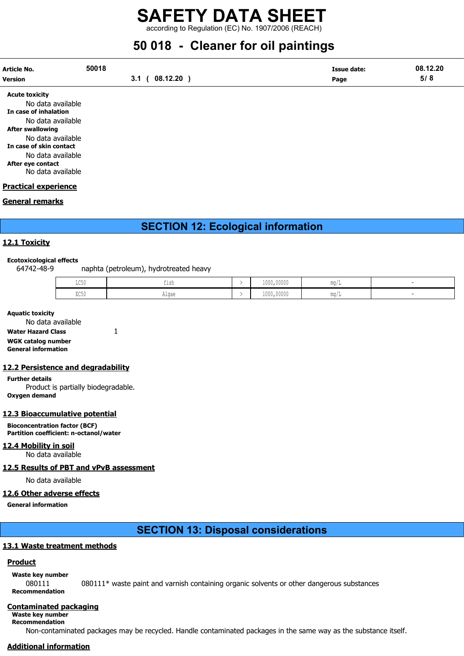according to Regulation (EC) No. 1907/2006 (REACH)

# 50 018 - Cleaner for oil paintings

| Article No.<br><b>Version</b>                                       | 50018<br>08.12.20<br>3.1 <sub>0</sub> | <b>Issue date:</b><br>Page | 08.12.20<br>5/8 |
|---------------------------------------------------------------------|---------------------------------------|----------------------------|-----------------|
| <b>Acute toxicity</b><br>No data available<br>In case of inhalation |                                       |                            |                 |

of inhalation No data available After swallowing No data available In case of skin contact No data available After eye contact No data available

#### Practical experience

#### General remarks

## SECTION 12: Ecological information

#### 12.1 Toxicity

#### Ecotoxicological effects

64742-48-9 naphta (petroleum), hydrotreated heavy

| T OF<br>コレコロ | TTRU                          | 1000,00000 |  |
|--------------|-------------------------------|------------|--|
| DOE.<br>山しつり | $\sim$ $\sim$ $\sim$<br>Alyde | 1000,00000 |  |

#### Aquatic toxicity

| No data available          |  |
|----------------------------|--|
| <b>Water Hazard Class</b>  |  |
| WGK catalog number         |  |
| <b>General information</b> |  |

#### 12.2 Persistence and degradability

Further details Product is partially biodegradable. Oxygen demand

#### 12.3 Bioaccumulative potential

Bioconcentration factor (BCF) Partition coefficient: n-octanol/water

#### 12.4 Mobility in soil

No data available

#### 12.5 Results of PBT and vPvB assessment

No data available

#### 12.6 Other adverse effects

General information

### SECTION 13: Disposal considerations

#### 13.1 Waste treatment methods

#### **Product**

Waste key number

080111 080111\* waste paint and varnish containing organic solvents or other dangerous substances Recommendation

#### Contaminated packaging

#### Waste key number Recommendation

Non-contaminated packages may be recycled. Handle contaminated packages in the same way as the substance itself.

#### Additional information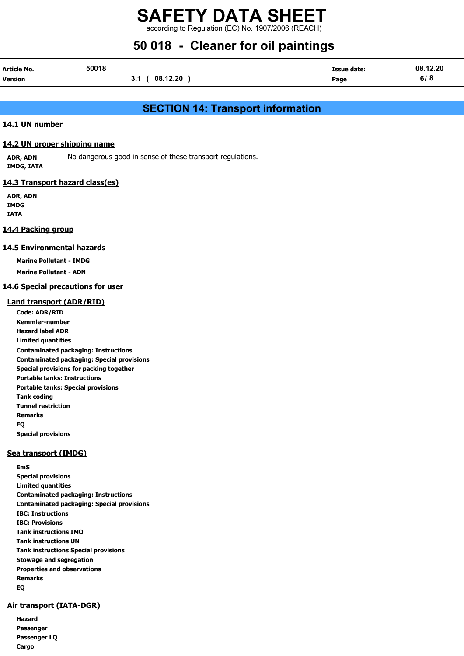according to Regulation (EC) No. 1907/2006 (REACH)

# 50 018 - Cleaner for oil paintings

| <b>Article No.</b> | 50018 |                 | <b>Issue date:</b> | 08.12.20 |
|--------------------|-------|-----------------|--------------------|----------|
| Version            |       | 08.12.20<br>3.1 | Page               | 6/8      |

## SECTION 14: Transport information

#### 14.1 UN number

#### 14.2 UN proper shipping name

ADR, ADN No dangerous good in sense of these transport regulations. IMDG, IATA

#### 14.3 Transport hazard class(es)

ADR, ADN IMDG IATA

#### 14.4 Packing group

#### 14.5 Environmental hazards

Marine Pollutant - IMDG

Marine Pollutant - ADN

#### 14.6 Special precautions for user

#### Land transport (ADR/RID)

Code: ADR/RID Kemmler-number Hazard label ADR Limited quantities Contaminated packaging: Instructions Contaminated packaging: Special provisions Special provisions for packing together Portable tanks: Instructions Portable tanks: Special provisions Tank coding Tunnel restriction Remarks EQ Special provisions

#### Sea transport (IMDG)

EmS Special provisions Limited quantities Contaminated packaging: Instructions Contaminated packaging: Special provisions IBC: Instructions IBC: Provisions Tank instructions IMO Tank instructions UN Tank instructions Special provisions Stowage and segregation Properties and observations Remarks EQ

#### Air transport (IATA-DGR)

Hazard Passenger Passenger LQ Cargo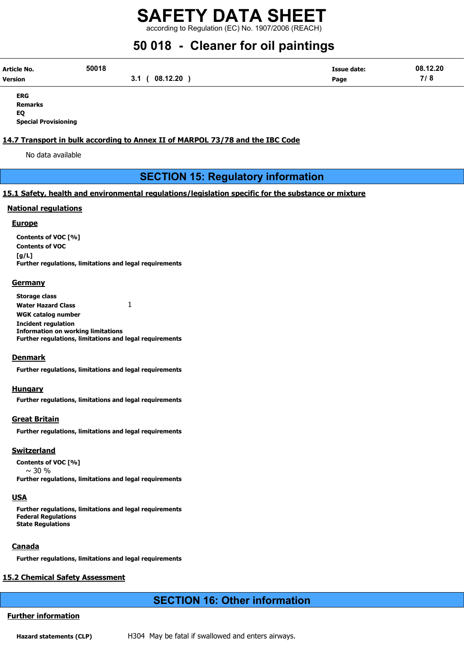according to Regulation (EC) No. 1907/2006 (REACH)

# 50 018 - Cleaner for oil paintings

| Article No. | 50018 |                                    | <b>Issue date:</b> | 08.12.20            |
|-------------|-------|------------------------------------|--------------------|---------------------|
| Version     |       | $^{\circ}$ 08.12.20 $\cdot$<br>3.1 | Page               | 710<br>. <i>.</i> o |

ERG Remarks EQ Special Provisioning

#### 14.7 Transport in bulk according to Annex II of MARPOL 73/78 and the IBC Code

No data available

### SECTION 15: Regulatory information

#### 15.1 Safety, health and environmental regulations/legislation specific for the substance or mixture

#### National regulations

#### **Europe**

Contents of VOC [%] Contents of VOC [g/L] Further regulations, limitations and legal requirements

#### **Germany**

Storage class Water Hazard Class 1 WGK catalog number Incident regulation Information on working limitations Further regulations, limitations and legal requirements

#### **Denmark**

Further regulations, limitations and legal requirements

#### Hungary

Further regulations, limitations and legal requirements

#### Great Britain

Further regulations, limitations and legal requirements

#### Switzerland

Contents of VOC [%]  $\sim$  30 % Further regulations, limitations and legal requirements

#### **USA**

Further regulations, limitations and legal requirements Federal Regulations State Regulations

#### Canada

Further regulations, limitations and legal requirements

#### 15.2 Chemical Safety Assessment

### SECTION 16: Other information

#### Further information

Hazard statements (CLP) H304 May be fatal if swallowed and enters airways.